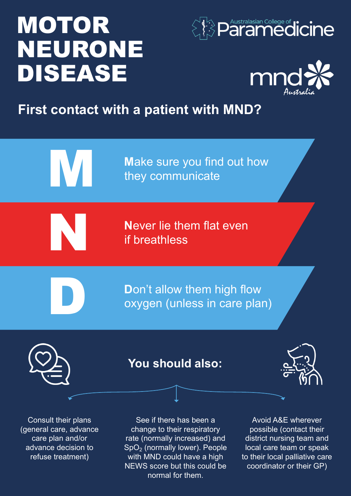# **MOTOR** NEURONE DISEASE





## **First contact with a patient with MND?**



Consult their plans (general care, advance care plan and/or advance decision to refuse treatment)

See if there has been a change to their respiratory rate (normally increased) and  $SpO<sub>2</sub>$  (normally lower). People with MND could have a high NEWS score but this could be normal for them.

Avoid A&E wherever possible (contact their district nursing team and local care team or speak to their local palliative care coordinator or their GP)